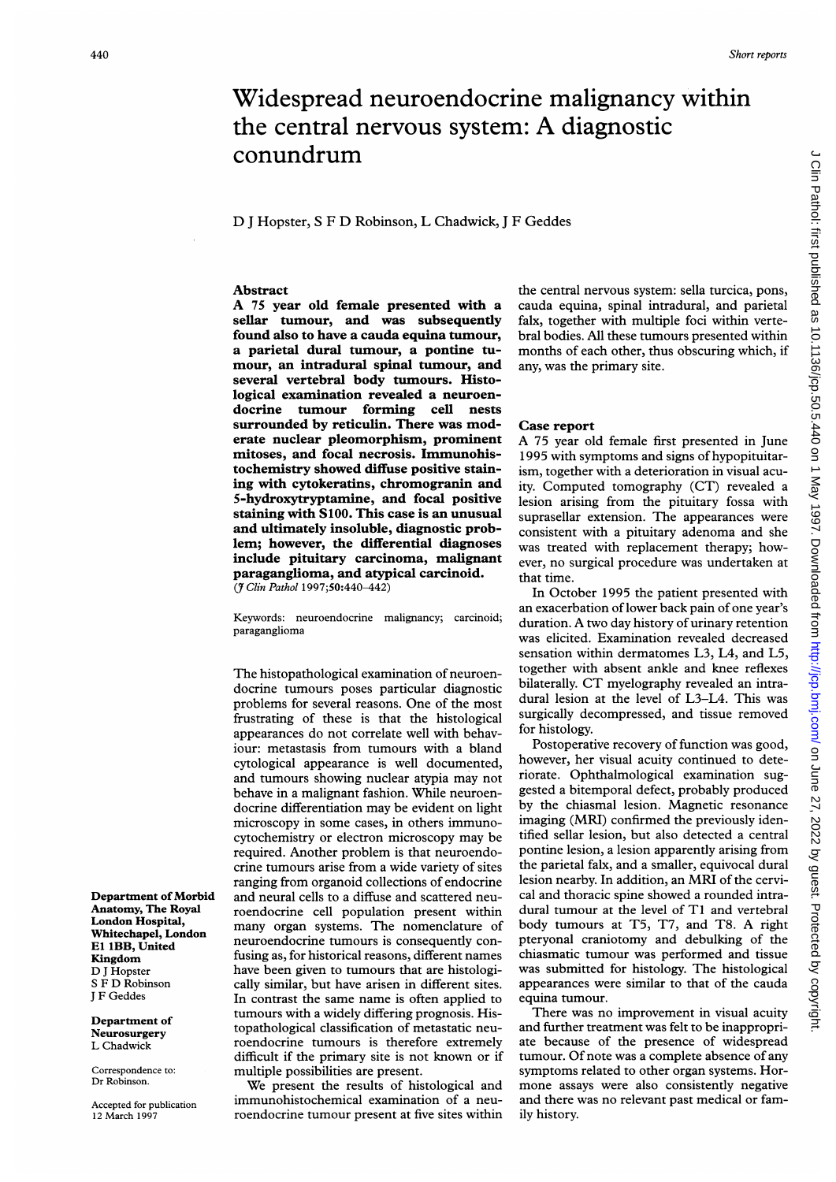## Widespread neuroendocrine malignancy within the central nervous system: A diagnostic conundrum

D <sup>J</sup> Hopster, <sup>S</sup> F D Robinson, L Chadwick, <sup>J</sup> F Geddes

#### Abstract

A <sup>75</sup> year old female presented with <sup>a</sup> sellar tumour, and was subsequently found also to have a cauda equina tumour, a parietal dural tumour, a pontine tumour, an intradural spinal tumour, and several vertebral body tumours. Histological examination revealed a neuroendocrine tumour forming cell nests surrounded by reticulin. There was moderate nuclear pleomorphism, prominent mitoses, and focal necrosis. Immunohistochemistry showed diffuse positive staining with cytokeratins, chromogranin and 5-hydroxytryptamine, and focal positive staining with S100. This case is an unusual and ultimately insoluble, diagnostic problem; however, the differential diagnoses include pituitary carcinoma, malignant paraganglioma, and atypical carcinoid. (7 Clin Pathol 1997;50:440-442)

Keywords: neuroendocrine malignancy; carcinoid; paraganglioma

The histopathological examination of neuroendocrine tumours poses particular diagnostic problems for several reasons. One of the most frustrating of these is that the histological appearances do not correlate well with behaviour: metastasis from tumours with a bland cytological appearance is well documented, and tumours showing nuclear atypia may not behave in a malignant fashion. While neuroendocrine differentiation may be evident on light microscopy in some cases, in others immunocytochemistry or electron microscopy may be required. Another problem is that neuroendocrine tumours arise from a wide variety of sites ranging from organoid collections of endocrine and neural cells to a diffuse and scattered neuroendocrine cell population present within many organ systems. The nomenclature of neuroendocrine tumours is consequently confusing as, for historical reasons, different names have been given to tumours that are histologically similar, but have arisen in different sites. In contrast the same name is often applied to tumours with a widely differing prognosis. Histopathological classification of metastatic neuroendocrine tumours is therefore extremely difficult if the primary site is not known or if multiple possibilities are present.

We present the results of histological and immunohistochemical examination of a neuroendocrine tumour present at five sites within the central nervous system: sella turcica, pons, cauda equina, spinal intradural, and parietal falx, together with multiple foci within vertebral bodies. All these tumours presented within months of each other, thus obscuring which, if any, was the primary site.

## Case report

A <sup>75</sup> year old female first presented in June 1995 with symptoms and signs of hypopituitarism, together with a deterioration in visual acuity. Computed tomography (CT) revealed a lesion arising from the pituitary fossa with suprasellar extension. The appearances were consistent with a pituitary adenoma and she was treated with replacement therapy; however, no surgical procedure was undertaken at that time.

In October 1995 the patient presented with an exacerbation of lower back pain of one year's duration. A two day history of urinary retention was elicited. Examination revealed decreased sensation within dermatomes L3, L4, and L5, together with absent ankle and knee reflexes bilaterally. CT myelography revealed an intradural lesion at the level of L3-L4. This was surgically decompressed, and tissue removed for histology.

Postoperative recovery of function was good, however, her visual acuity continued to deteriorate. Ophthalmological examination suggested a bitemporal defect, probably produced by the chiasmal lesion. Magnetic resonance imaging (MRI) confirmed the previously identified sellar lesion, but also detected a central pontine lesion, a lesion apparently arising from the parietal falx, and a smaller, equivocal dural lesion nearby. In addition, an MRI of the cervical and thoracic spine showed a rounded intradural tumour at the level of TI and vertebral body tumours at T5, T7, and T8. A right pteryonal craniotomy and debulking of the chiasmatic tumour was performed and tissue was submitted for histology. The histological appearances were similar to that of the cauda equina tumour.

There was no improvement in visual acuity and further treatment was felt to be inappropriate because of the presence of widespread tumour. Of note was a complete absence of any symptoms related to other organ systems. Hormone assays were also consistently negative and there was no relevant past medical or family history.

Department of Morbid Anatomy, The Royal London Hospital, Whitechapel, London El 1BB, United Kingdom D <sup>J</sup> Hopster <sup>S</sup> F D Robinson <sup>J</sup> F Geddes

Department of Neurosurgery L Chadwick

Correspondence to: Dr Robinson.

Accepted for publication 12 March 1997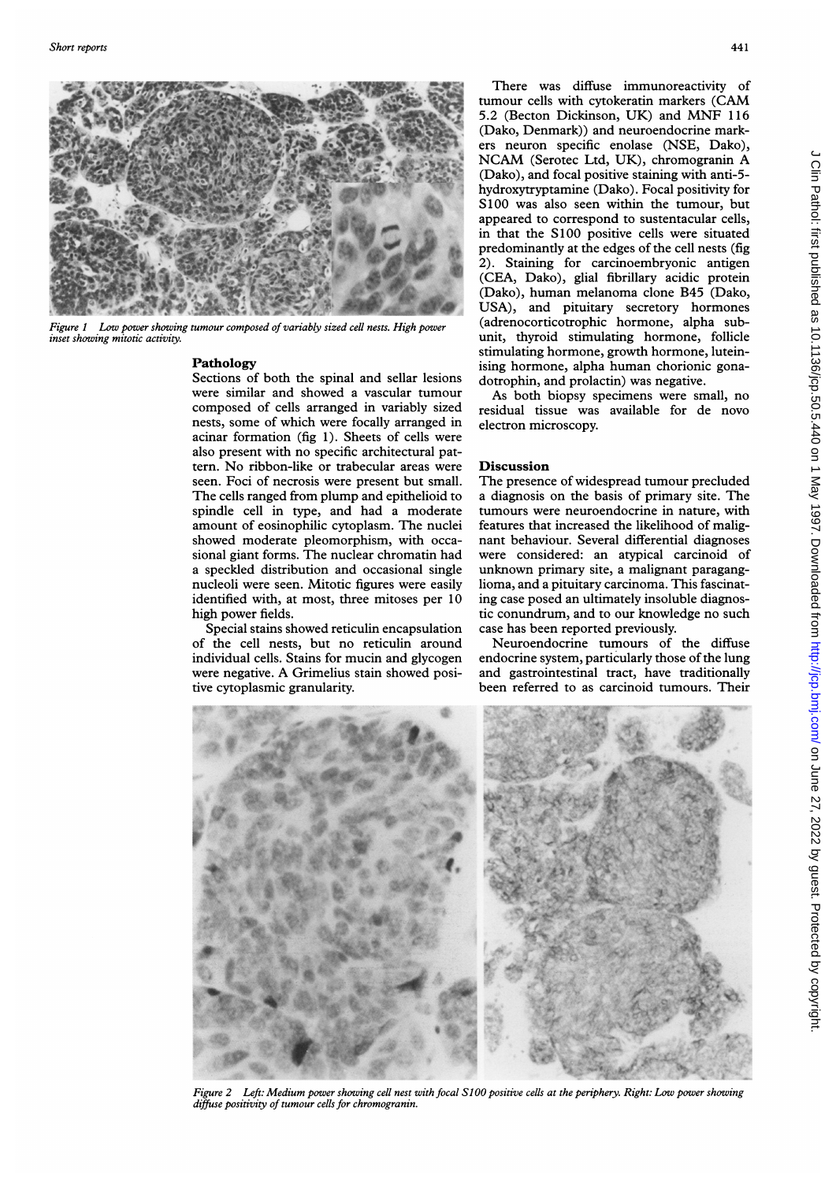

Figure <sup>1</sup> Low power showing tumour composed of variably sized cell nests. High power inset showing mitotic activity.

## Pathology

Sections of both the spinal and sellar lesions were similar and showed a vascular tumour composed of cells arranged in variably sized nests, some of which were focally arranged in acinar formation (fig 1). Sheets of cells were also present with no specific architectural pattern. No ribbon-like or trabecular areas were seen. Foci of necrosis were present but small. The cells ranged from plump and epithelioid to spindle cell in type, and had a moderate amount of eosinophilic cytoplasm. The nuclei showed moderate pleomorphism, with occasional giant forms. The nuclear chromatin had a speckled distribution and occasional single nucleoli were seen. Mitotic figures were easily identified with, at most, three mitoses per 10 high power fields.

Special stains showed reticulin encapsulation of the cell nests, but no reticulin around individual cells. Stains for mucin and glycogen were negative. A Grimelius stain showed positive cytoplasmic granularity.

There was diffuse immunoreactivity of tumour cells with cytokeratin markers (CAM 5.2 (Becton Dickinson, UK) and MNF <sup>116</sup> (Dako, Denmark)) and neuroendocrine markers neuron specific enolase (NSE, Dako), NCAM (Serotec Ltd, UK), chromogranin A (Dako), and focal positive staining with anti-5 hydroxytryptamine (Dako). Focal positivity for Si00 was also seen within the tumour, but appeared to correspond to sustentacular cells, in that the S100 positive cells were situated predominantly at the edges of the cell nests (fig 2). Staining for carcinoembryonic antigen (CEA, Dako), glial fibrillary acidic protein (Dako), human melanoma clone B45 (Dako, USA), and pituitary secretory hormones (adrenocorticotrophic hormone, alpha subunit, thyroid stimulating hormone, follicle stimulating hormone, growth hormone, luteinising hormone, alpha human chorionic gonadotrophin, and prolactin) was negative. se immunoreactivity of<br>trokeratin markers (CAM<br>con, UK) and MNF 116<br>non, UK) and MNF 116<br>enondocrine mark-<br>enondocrine mark-<br>d, UC), chromographin Anti-<br>stive staining with anti-<br>Dako). Focal positivity for<br>within the tumo

As both biopsy specimens were small, no residual tissue was available for de novo electron microscopy.

## Discussion

The presence of widespread tumour precluded a diagnosis on the basis of primary site. The tumours were neuroendocrine in nature, with features that increased the likelihood of malignant behaviour. Several differential diagnoses were considered: an atypical carcinoid of unknown primary site, a malignant paraganglioma, and a pituitary carcinoma. This fascinating case posed an ultimately insoluble diagnostic conundrum, and to our knowledge no such case has been reported previously.

Neuroendocrine tumours of the diffuse endocrine system, particularly those of the lung and gastrointestinal tract, have traditionally



Figure 2 Left: Medium power showing cell nest with focal SlOO positive cells at the periphery. Right: Low power showing diffuse positivity of tumour cells for chromogranin.